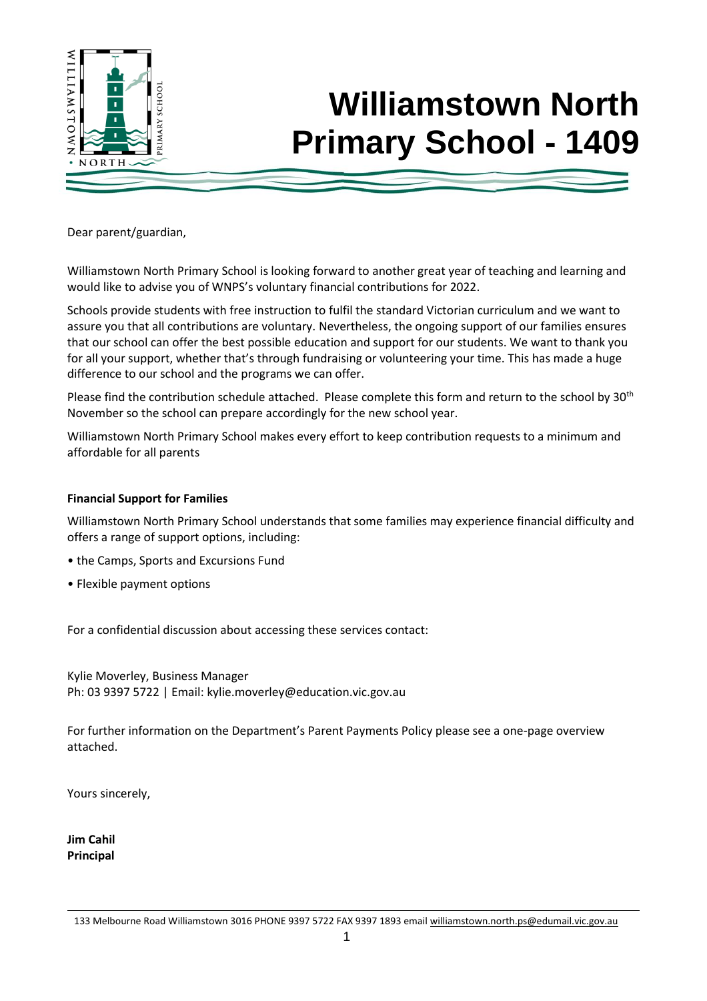

# **Williamstown North Primary School - 1409**

Dear parent/guardian,

Williamstown North Primary School is looking forward to another great year of teaching and learning and would like to advise you of WNPS's voluntary financial contributions for 2022.

Schools provide students with free instruction to fulfil the standard Victorian curriculum and we want to assure you that all contributions are voluntary. Nevertheless, the ongoing support of our families ensures that our school can offer the best possible education and support for our students. We want to thank you for all your support, whether that's through fundraising or volunteering your time. This has made a huge difference to our school and the programs we can offer.

Please find the contribution schedule attached. Please complete this form and return to the school by 30<sup>th</sup> November so the school can prepare accordingly for the new school year.

Williamstown North Primary School makes every effort to keep contribution requests to a minimum and affordable for all parents

### **Financial Support for Families**

Williamstown North Primary School understands that some families may experience financial difficulty and offers a range of support options, including:

- the Camps, Sports and Excursions Fund
- Flexible payment options

For a confidential discussion about accessing these services contact:

Kylie Moverley, Business Manager Ph: 03 9397 5722 | Email: kylie.moverley@education.vic.gov.au

For further information on the Department's Parent Payments Policy please see a one-page overview attached.

Yours sincerely,

**Jim Cahil Principal**

<sup>133</sup> Melbourne Road Williamstown 3016 PHONE 9397 5722 FAX 9397 1893 email [williamstown.north.ps@edumail.vic.gov.au](mailto:williamstown.north.ps@edumail.vic.gov.au)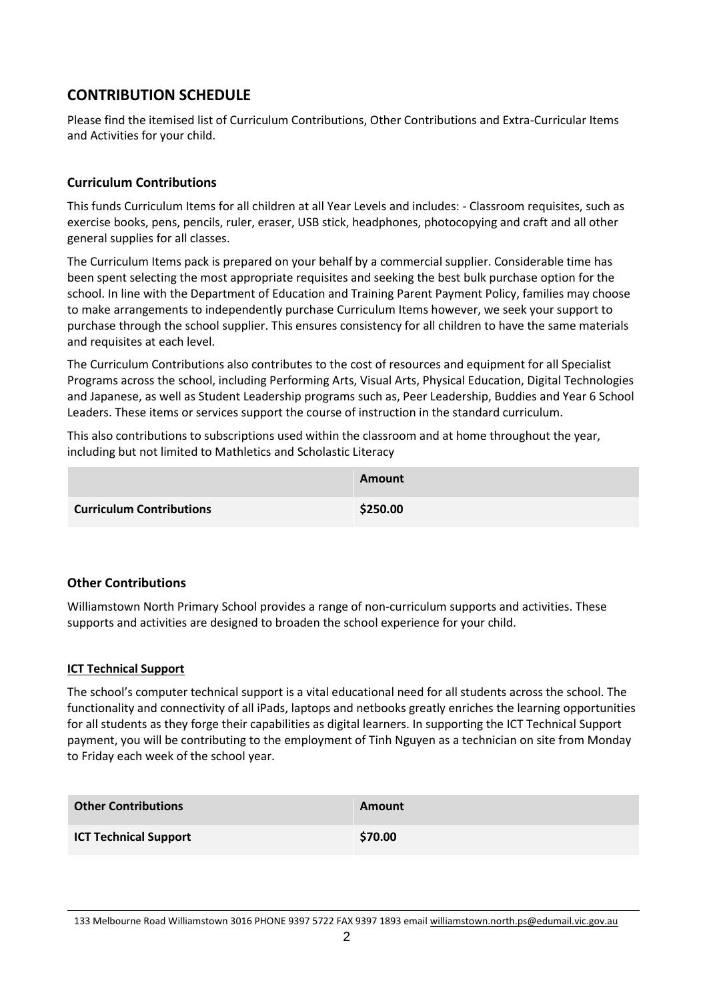### **CONTRIBUTION SCHEDULE**

Please find the itemised list of Curriculum Contributions, Other Contributions and Extra-Curricular Items and Activities for your child.

### **Curriculum Contributions**

This funds Curriculum Items for all children at all Year Levels and includes: - Classroom requisites, such as exercise books, pens, pencils, ruler, eraser, USB stick, headphones, photocopying and craft and all other general supplies for all classes.

The Curriculum Items pack is prepared on your behalf by a commercial supplier. Considerable time has been spent selecting the most appropriate requisites and seeking the best bulk purchase option for the school. In line with the Department of Education and Training Parent Payment Policy, families may choose to make arrangements to independently purchase Curriculum Items however, we seek your support to purchase through the school supplier. This ensures consistency for all children to have the same materials and requisites at each level.

The Curriculum Contributions also contributes to the cost of resources and equipment for all Specialist Programs across the school, including Performing Arts, Visual Arts, Physical Education, Digital Technologies and Japanese, as well as Student Leadership programs such as, Peer Leadership, Buddies and Year 6 School Leaders. These items or services support the course of instruction in the standard curriculum.

This also contributions to subscriptions used within the classroom and at home throughout the year, including but not limited to Mathletics and Scholastic Literacy

|                                 | <b>Amount</b> |
|---------------------------------|---------------|
| <b>Curriculum Contributions</b> | \$250.00      |

### **Other Contributions**

Williamstown North Primary School provides a range of non-curriculum supports and activities. These supports and activities are designed to broaden the school experience for your child.

#### **ICT Technical Support**

The school's computer technical support is a vital educational need for all students across the school. The functionality and connectivity of all iPads, laptops and netbooks greatly enriches the learning opportunities for all students as they forge their capabilities as digital learners. In supporting the ICT Technical Support payment, you will be contributing to the employment of Tinh Nguyen as a technician on site from Monday to Friday each week of the school year.

| <b>Other Contributions</b>   | <b>Amount</b> |
|------------------------------|---------------|
| <b>ICT Technical Support</b> | \$70.00       |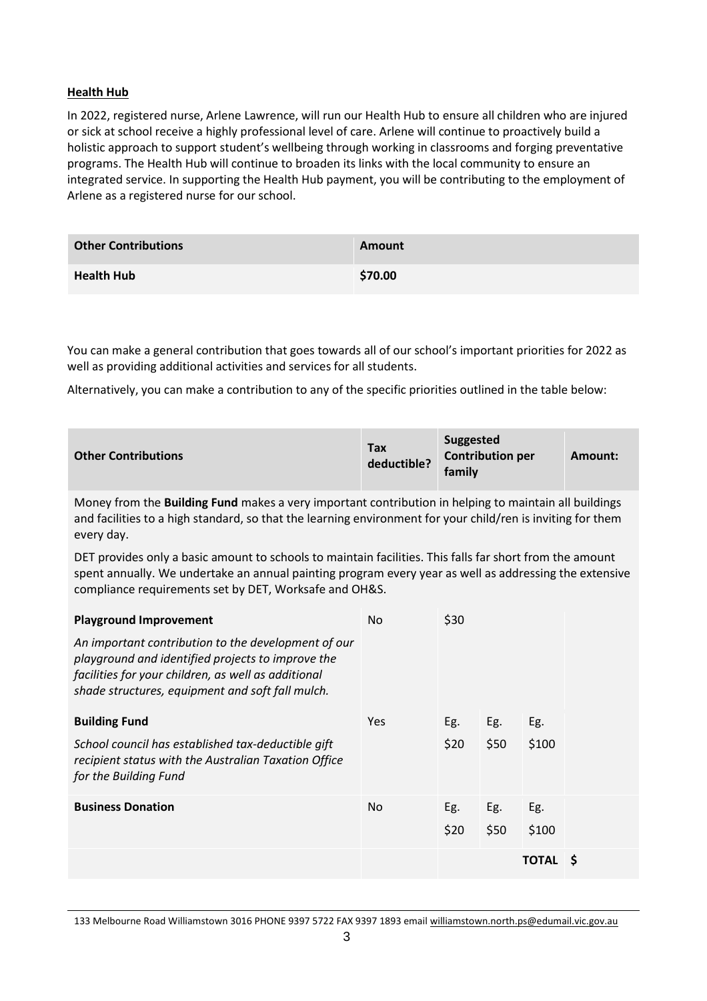### **Health Hub**

In 2022, registered nurse, Arlene Lawrence, will run our Health Hub to ensure all children who are injured or sick at school receive a highly professional level of care. Arlene will continue to proactively build a holistic approach to support student's wellbeing through working in classrooms and forging preventative programs. The Health Hub will continue to broaden its links with the local community to ensure an integrated service. In supporting the Health Hub payment, you will be contributing to the employment of Arlene as a registered nurse for our school.

| <b>Other Contributions</b> | Amount  |
|----------------------------|---------|
| <b>Health Hub</b>          | \$70.00 |

You can make a general contribution that goes towards all of our school's important priorities for 2022 as well as providing additional activities and services for all students.

Alternatively, you can make a contribution to any of the specific priorities outlined in the table below:

| <b>Other Contributions</b> | <b>Tax</b><br>deductible? | <b>Suggested</b><br><b>Contribution per</b><br>family | Amount: |
|----------------------------|---------------------------|-------------------------------------------------------|---------|
|----------------------------|---------------------------|-------------------------------------------------------|---------|

Money from the **Building Fund** makes a very important contribution in helping to maintain all buildings and facilities to a high standard, so that the learning environment for your child/ren is inviting for them every day.

DET provides only a basic amount to schools to maintain facilities. This falls far short from the amount spent annually. We undertake an annual painting program every year as well as addressing the extensive compliance requirements set by DET, Worksafe and OH&S.

| <b>Playground Improvement</b>                                                                                                                                                                                       | No. | \$30 |      |         |  |
|---------------------------------------------------------------------------------------------------------------------------------------------------------------------------------------------------------------------|-----|------|------|---------|--|
| An important contribution to the development of our<br>playground and identified projects to improve the<br>facilities for your children, as well as additional<br>shade structures, equipment and soft fall mulch. |     |      |      |         |  |
| <b>Building Fund</b>                                                                                                                                                                                                | Yes | Eg.  | Eg.  | Eg.     |  |
| School council has established tax-deductible gift<br>recipient status with the Australian Taxation Office<br>for the Building Fund                                                                                 |     | \$20 | \$50 | \$100   |  |
| <b>Business Donation</b>                                                                                                                                                                                            | No. | Eg.  | Eg.  | Eg.     |  |
|                                                                                                                                                                                                                     |     | \$20 | \$50 | \$100   |  |
|                                                                                                                                                                                                                     |     |      |      | TOTAL S |  |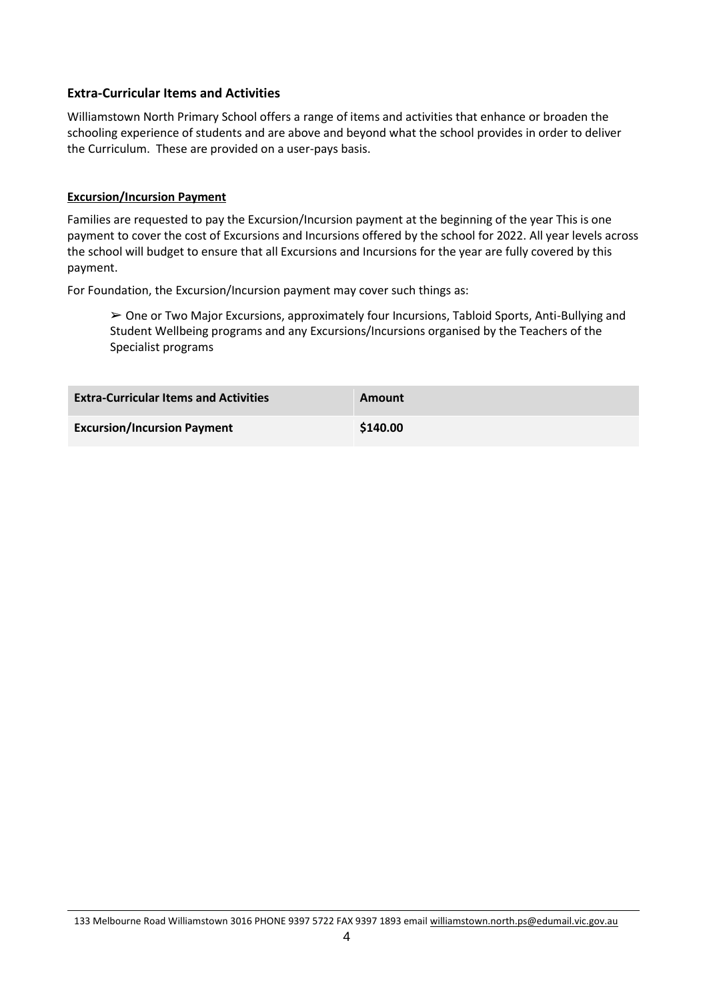### **Extra-Curricular Items and Activities**

Williamstown North Primary School offers a range of items and activities that enhance or broaden the schooling experience of students and are above and beyond what the school provides in order to deliver the Curriculum. These are provided on a user-pays basis.

#### **Excursion/Incursion Payment**

Families are requested to pay the Excursion/Incursion payment at the beginning of the year This is one payment to cover the cost of Excursions and Incursions offered by the school for 2022. All year levels across the school will budget to ensure that all Excursions and Incursions for the year are fully covered by this payment.

For Foundation, the Excursion/Incursion payment may cover such things as:

 $\geq$  One or Two Major Excursions, approximately four Incursions, Tabloid Sports, Anti-Bullying and Student Wellbeing programs and any Excursions/Incursions organised by the Teachers of the Specialist programs

| <b>Extra-Curricular Items and Activities</b> | Amount   |
|----------------------------------------------|----------|
| <b>Excursion/Incursion Payment</b>           | \$140.00 |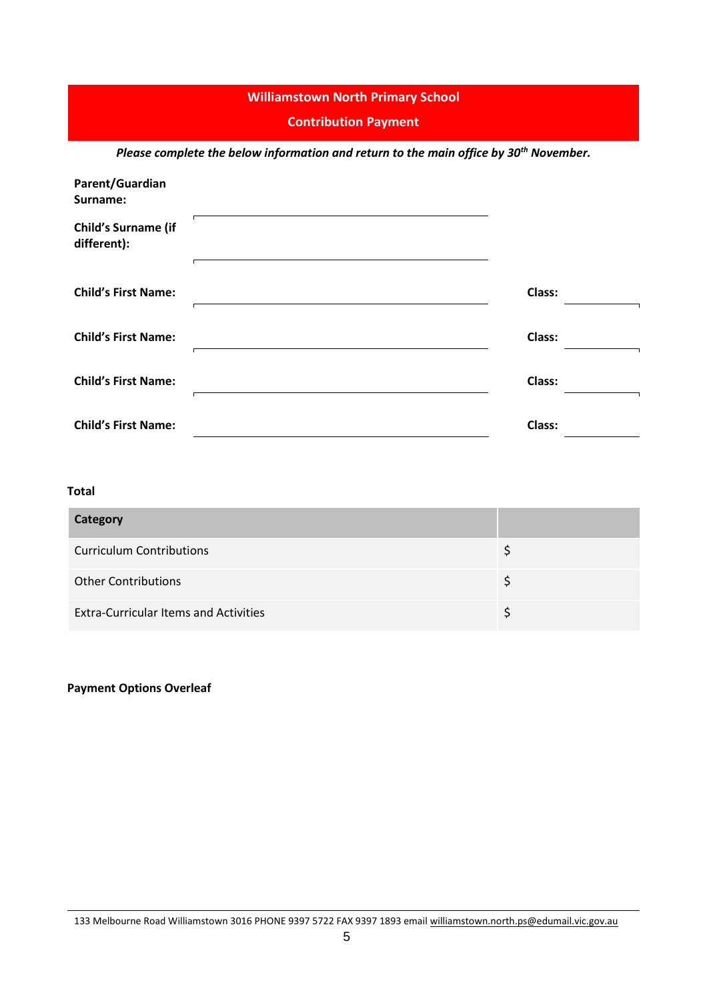### **Williamstown North Primary School**

#### **Contribution Payment**

*Please complete the below information and return to the main office by 30th November.*

| Parent/Guardian<br>Surname:        |        |  |
|------------------------------------|--------|--|
| Child's Surname (if<br>different): |        |  |
| <b>Child's First Name:</b>         | Class: |  |
| <b>Child's First Name:</b>         | Class: |  |
| <b>Child's First Name:</b>         | Class: |  |
| <b>Child's First Name:</b>         | Class: |  |

### **Total**

| Category                                     |  |
|----------------------------------------------|--|
| <b>Curriculum Contributions</b>              |  |
| <b>Other Contributions</b>                   |  |
| <b>Extra-Curricular Items and Activities</b> |  |

### **Payment Options Overleaf**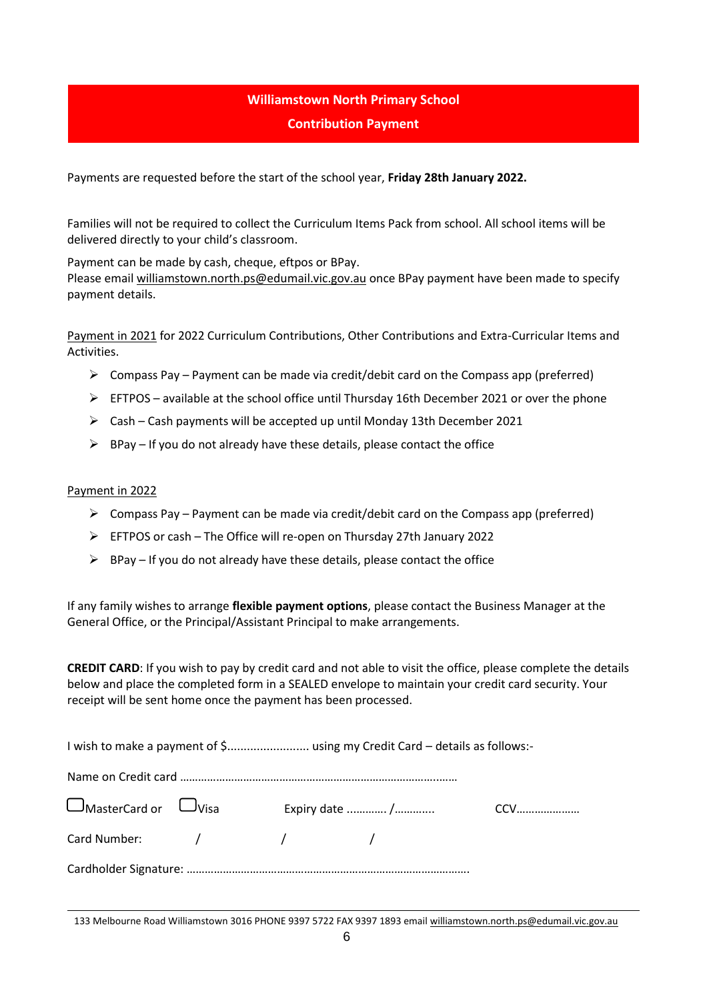### **Williamstown North Primary School Contribution Payment**

Payments are requested before the start of the school year, **Friday 28th January 2022.**

Families will not be required to collect the Curriculum Items Pack from school. All school items will be delivered directly to your child's classroom.

Payment can be made by cash, cheque, eftpos or BPay.

Please email [williamstown.north.ps@edumail.vic.gov.au](mailto:williamstown.north.ps@edumail.vic.gov.au) once BPay payment have been made to specify payment details.

Payment in 2021 for 2022 Curriculum Contributions, Other Contributions and Extra-Curricular Items and Activities.

- $\triangleright$  Compass Pay Payment can be made via credit/debit card on the Compass app (preferred)
- $\triangleright$  EFTPOS available at the school office until Thursday 16th December 2021 or over the phone
- $\triangleright$  Cash Cash payments will be accepted up until Monday 13th December 2021
- $\triangleright$  BPay If you do not already have these details, please contact the office

#### Payment in 2022

- $\triangleright$  Compass Pay Payment can be made via credit/debit card on the Compass app (preferred)
- ➢ EFTPOS or cash The Office will re-open on Thursday 27th January 2022
- $\triangleright$  BPay If you do not already have these details, please contact the office

If any family wishes to arrange **flexible payment options**, please contact the Business Manager at the General Office, or the Principal/Assistant Principal to make arrangements.

**CREDIT CARD**: If you wish to pay by credit card and not able to visit the office, please complete the details below and place the completed form in a SEALED envelope to maintain your credit card security. Your receipt will be sent home once the payment has been processed.

|                                            |  | I wish to make a payment of \$ using my Credit Card - details as follows:- |  |
|--------------------------------------------|--|----------------------------------------------------------------------------|--|
|                                            |  |                                                                            |  |
| $\square$ MasterCard or $\;\;\square$ Visa |  |                                                                            |  |
|                                            |  |                                                                            |  |
|                                            |  |                                                                            |  |

133 Melbourne Road Williamstown 3016 PHONE 9397 5722 FAX 9397 1893 email [williamstown.north.ps@edumail.vic.gov.au](mailto:williamstown.north.ps@edumail.vic.gov.au)